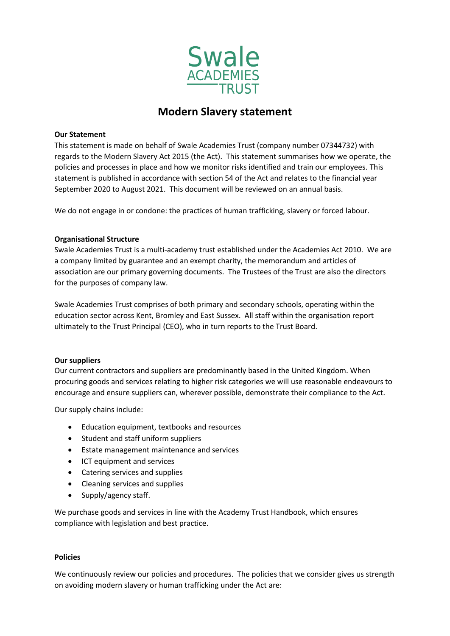

# **Modern Slavery statement**

## **Our Statement**

This statement is made on behalf of Swale Academies Trust (company number 07344732) with regards to the Modern Slavery Act 2015 (the Act). This statement summarises how we operate, the policies and processes in place and how we monitor risks identified and train our employees. This statement is published in accordance with section 54 of the Act and relates to the financial year September 2020 to August 2021. This document will be reviewed on an annual basis.

We do not engage in or condone: the practices of human trafficking, slavery or forced labour.

### **Organisational Structure**

Swale Academies Trust is a multi-academy trust established under the Academies Act 2010. We are a company limited by guarantee and an exempt charity, the memorandum and articles of association are our primary governing documents. The Trustees of the Trust are also the directors for the purposes of company law.

Swale Academies Trust comprises of both primary and secondary schools, operating within the education sector across Kent, Bromley and East Sussex. All staff within the organisation report ultimately to the Trust Principal (CEO), who in turn reports to the Trust Board.

### **Our suppliers**

Our current contractors and suppliers are predominantly based in the United Kingdom. When procuring goods and services relating to higher risk categories we will use reasonable endeavours to encourage and ensure suppliers can, wherever possible, demonstrate their compliance to the Act.

Our supply chains include:

- Education equipment, textbooks and resources
- Student and staff uniform suppliers
- Estate management maintenance and services
- ICT equipment and services
- Catering services and supplies
- Cleaning services and supplies
- Supply/agency staff.

We purchase goods and services in line with the Academy Trust Handbook, which ensures compliance with legislation and best practice.

### **Policies**

We continuously review our policies and procedures. The policies that we consider gives us strength on avoiding modern slavery or human trafficking under the Act are: